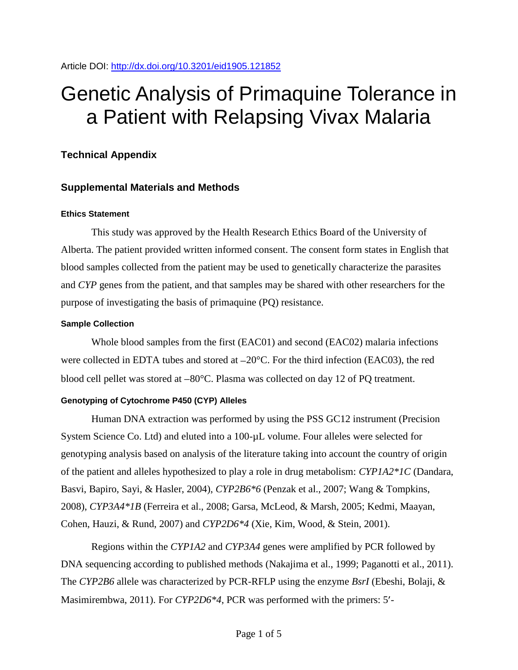Article DOI:<http://dx.doi.org/10.3201/eid1905.121852>

# Genetic Analysis of Primaquine Tolerance in a Patient with Relapsing Vivax Malaria

# **Technical Appendix**

## **Supplemental Materials and Methods**

#### **Ethics Statement**

This study was approved by the Health Research Ethics Board of the University of Alberta. The patient provided written informed consent. The consent form states in English that blood samples collected from the patient may be used to genetically characterize the parasites and *CYP* genes from the patient, and that samples may be shared with other researchers for the purpose of investigating the basis of primaquine (PQ) resistance.

## **Sample Collection**

Whole blood samples from the first (EAC01) and second (EAC02) malaria infections were collected in EDTA tubes and stored at  $-20^{\circ}$ C. For the third infection (EAC03), the red blood cell pellet was stored at  $-80^{\circ}$ C. Plasma was collected on day 12 of PQ treatment.

## **Genotyping of Cytochrome P450 (CYP) Alleles**

Human DNA extraction was performed by using the PSS GC12 instrument (Precision System Science Co. Ltd) and eluted into a 100-µL volume. Four alleles were selected for genotyping analysis based on analysis of the literature taking into account the country of origin of the patient and alleles hypothesized to play a role in drug metabolism: *CYP1A2\*1C* (Dandara, Basvi, Bapiro, Sayi, & Hasler, 2004), *CYP2B6\*6* (Penzak et al., 2007; Wang & Tompkins, 2008), *CYP3A4\*1B* (Ferreira et al., 2008; Garsa, McLeod, & Marsh, 2005; Kedmi, Maayan, Cohen, Hauzi, & Rund, 2007) and *CYP2D6\*4* (Xie, Kim, Wood, & Stein, 2001).

Regions within the *CYP1A2* and *CYP3A4* genes were amplified by PCR followed by DNA sequencing according to published methods (Nakajima et al., 1999; Paganotti et al., 2011). The *CYP2B6* allele was characterized by PCR-RFLP using the enzyme *BsrI* (Ebeshi, Bolaji, & Masimirembwa, 2011). For *CYP2D6\*4*, PCR was performed with the primers: 5'-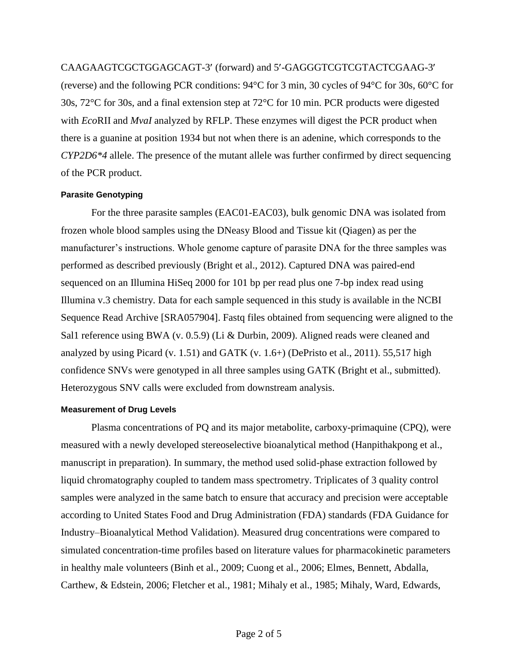CAAGAAGTCGCTGGAGCAGT-3' (forward) and 5'-GAGGGTCGTCGTACTCGAAG-3' (reverse) and the following PCR conditions: 94°C for 3 min, 30 cycles of 94°C for 30s, 60°C for 30s, 72°C for 30s, and a final extension step at 72°C for 10 min. PCR products were digested with *Eco*RII and *MvaI* analyzed by RFLP. These enzymes will digest the PCR product when there is a guanine at position 1934 but not when there is an adenine, which corresponds to the *CYP2D6\*4* allele. The presence of the mutant allele was further confirmed by direct sequencing of the PCR product.

#### **Parasite Genotyping**

For the three parasite samples (EAC01-EAC03), bulk genomic DNA was isolated from frozen whole blood samples using the DNeasy Blood and Tissue kit (Qiagen) as per the manufacturer's instructions. Whole genome capture of parasite DNA for the three samples was performed as described previously (Bright et al., 2012). Captured DNA was paired-end sequenced on an Illumina HiSeq 2000 for 101 bp per read plus one 7-bp index read using Illumina v.3 chemistry. Data for each sample sequenced in this study is available in the NCBI Sequence Read Archive [SRA057904]. Fastq files obtained from sequencing were aligned to the Sal1 reference using BWA (v. 0.5.9) (Li & Durbin, 2009). Aligned reads were cleaned and analyzed by using Picard (v. 1.51) and GATK (v. 1.6+) (DePristo et al., 2011). 55,517 high confidence SNVs were genotyped in all three samples using GATK (Bright et al., submitted). Heterozygous SNV calls were excluded from downstream analysis.

#### **Measurement of Drug Levels**

Plasma concentrations of PQ and its major metabolite, carboxy-primaquine (CPQ), were measured with a newly developed stereoselective bioanalytical method (Hanpithakpong et al., manuscript in preparation). In summary, the method used solid-phase extraction followed by liquid chromatography coupled to tandem mass spectrometry. Triplicates of 3 quality control samples were analyzed in the same batch to ensure that accuracy and precision were acceptable according to United States Food and Drug Administration (FDA) standards (FDA Guidance for Industry–Bioanalytical Method Validation). Measured drug concentrations were compared to simulated concentration-time profiles based on literature values for pharmacokinetic parameters in healthy male volunteers (Binh et al., 2009; Cuong et al., 2006; Elmes, Bennett, Abdalla, Carthew, & Edstein, 2006; Fletcher et al., 1981; Mihaly et al., 1985; Mihaly, Ward, Edwards,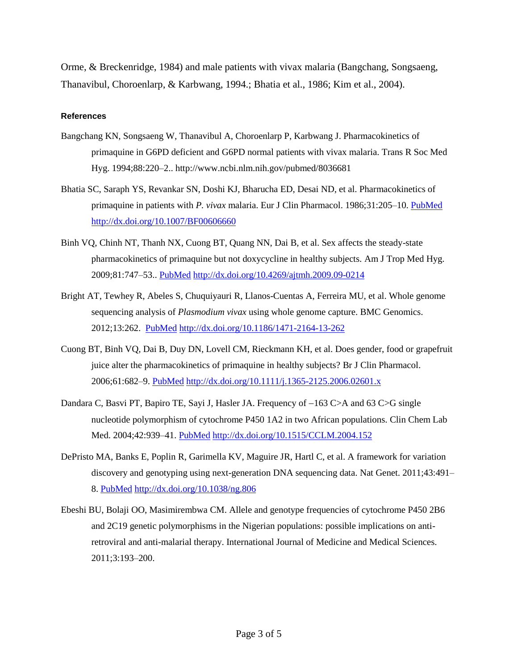Orme, & Breckenridge, 1984) and male patients with vivax malaria (Bangchang, Songsaeng, Thanavibul, Choroenlarp, & Karbwang, 1994.; Bhatia et al., 1986; Kim et al., 2004).

#### **References**

- Bangchang KN, Songsaeng W, Thanavibul A, Choroenlarp P, Karbwang J. Pharmacokinetics of primaquine in G6PD deficient and G6PD normal patients with vivax malaria. Trans R Soc Med Hyg. 1994;88:220–2.. http://www.ncbi.nlm.nih.gov/pubmed/8036681
- Bhatia SC, Saraph YS, Revankar SN, Doshi KJ, Bharucha ED, Desai ND, et al. Pharmacokinetics of primaquine in patients with *P. vivax* malaria. Eur J Clin Pharmacol. 1986;31:205–10. [PubMed](http://www.ncbi.nlm.nih.gov/entrez/query.fcgi?cmd=Retrieve&db=PubMed&list_uids=3542534&dopt=Abstract) <http://dx.doi.org/10.1007/BF00606660>
- Binh VQ, Chinh NT, Thanh NX, Cuong BT, Quang NN, Dai B, et al. Sex affects the steady-state pharmacokinetics of primaquine but not doxycycline in healthy subjects. Am J Trop Med Hyg. 2009;81:747–53.. [PubMed](http://www.ncbi.nlm.nih.gov/entrez/query.fcgi?cmd=Retrieve&db=PubMed&list_uids=19861604&dopt=Abstract) <http://dx.doi.org/10.4269/ajtmh.2009.09-0214>
- Bright AT, Tewhey R, Abeles S, Chuquiyauri R, Llanos-Cuentas A, Ferreira MU, et al. Whole genome sequencing analysis of *Plasmodium vivax* using whole genome capture. BMC Genomics. 2012;13:262. [PubMed](http://www.ncbi.nlm.nih.gov/entrez/query.fcgi?cmd=Retrieve&db=PubMed&list_uids=22721170&dopt=Abstract) <http://dx.doi.org/10.1186/1471-2164-13-262>
- Cuong BT, Binh VQ, Dai B, Duy DN, Lovell CM, Rieckmann KH, et al. Does gender, food or grapefruit juice alter the pharmacokinetics of primaquine in healthy subjects? Br J Clin Pharmacol. 2006;61:682–9. [PubMed](http://www.ncbi.nlm.nih.gov/entrez/query.fcgi?cmd=Retrieve&db=PubMed&list_uids=16722829&dopt=Abstract) <http://dx.doi.org/10.1111/j.1365-2125.2006.02601.x>
- Dandara C, Basvi PT, Bapiro TE, Sayi J, Hasler JA. Frequency of  $-163$  C>A and 63 C>G single nucleotide polymorphism of cytochrome P450 1A2 in two African populations. Clin Chem Lab Med. 2004;42:939–41. [PubMed](http://www.ncbi.nlm.nih.gov/entrez/query.fcgi?cmd=Retrieve&db=PubMed&list_uids=15387446&dopt=Abstract) <http://dx.doi.org/10.1515/CCLM.2004.152>
- DePristo MA, Banks E, Poplin R, Garimella KV, Maguire JR, Hartl C, et al. A framework for variation discovery and genotyping using next-generation DNA sequencing data. Nat Genet. 2011;43:491– 8. [PubMed](http://www.ncbi.nlm.nih.gov/entrez/query.fcgi?cmd=Retrieve&db=PubMed&list_uids=21478889&dopt=Abstract) <http://dx.doi.org/10.1038/ng.806>
- Ebeshi BU, Bolaji OO, Masimirembwa CM. Allele and genotype frequencies of cytochrome P450 2B6 and 2C19 genetic polymorphisms in the Nigerian populations: possible implications on antiretroviral and anti-malarial therapy. International Journal of Medicine and Medical Sciences. 2011;3:193–200.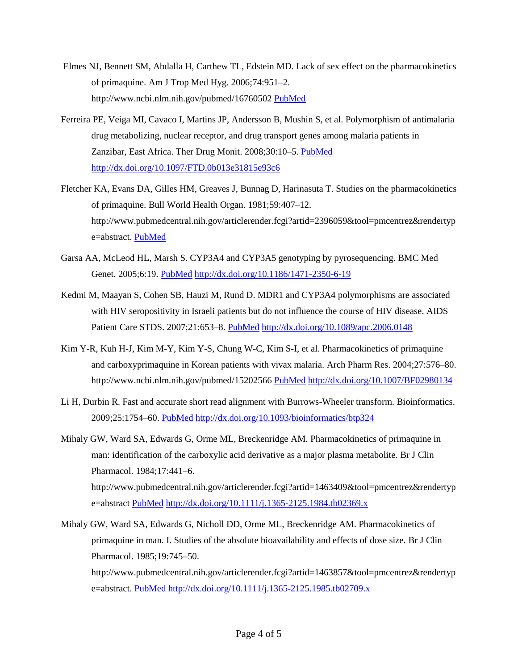- Elmes NJ, Bennett SM, Abdalla H, Carthew TL, Edstein MD. Lack of sex effect on the pharmacokinetics of primaquine. Am J Trop Med Hyg. 2006;74:951–2. http://www.ncbi.nlm.nih.gov/pubmed/16760502 [PubMed](http://www.ncbi.nlm.nih.gov/entrez/query.fcgi?cmd=Retrieve&db=PubMed&list_uids=16760502&dopt=Abstract)
- Ferreira PE, Veiga MI, Cavaco I, Martins JP, Andersson B, Mushin S, et al. Polymorphism of antimalaria drug metabolizing, nuclear receptor, and drug transport genes among malaria patients in Zanzibar, East Africa. Ther Drug Monit. 2008;30:10–5. [PubMed](file://cdc/project/CCID_NCPDCID_DEISS_EIDJ/EID%20Production/Editorial/EDITING/Carol/May13/%20PubMed) <http://dx.doi.org/10.1097/FTD.0b013e31815e93c6>
- Fletcher KA, Evans DA, Gilles HM, Greaves J, Bunnag D, Harinasuta T. Studies on the pharmacokinetics of primaquine. Bull World Health Organ. 1981;59:407–12. http://www.pubmedcentral.nih.gov/articlerender.fcgi?artid=2396059&tool=pmcentrez&rendertyp e=abstract. [PubMed](http://www.ncbi.nlm.nih.gov/entrez/query.fcgi?cmd=Retrieve&db=PubMed&list_uids=6976848&dopt=Abstract)
- Garsa AA, McLeod HL, Marsh S. CYP3A4 and CYP3A5 genotyping by pyrosequencing. BMC Med Genet. 2005;6:19. [PubMed](http://www.ncbi.nlm.nih.gov/entrez/query.fcgi?cmd=Retrieve&db=PubMed&list_uids=15882469&dopt=Abstract) <http://dx.doi.org/10.1186/1471-2350-6-19>
- Kedmi M, Maayan S, Cohen SB, Hauzi M, Rund D. MDR1 and CYP3A4 polymorphisms are associated with HIV seropositivity in Israeli patients but do not influence the course of HIV disease. AIDS Patient Care STDS. 2007;21:653–8. [PubMed](http://www.ncbi.nlm.nih.gov/entrez/query.fcgi?cmd=Retrieve&db=PubMed&list_uids=17919092&dopt=Abstract) <http://dx.doi.org/10.1089/apc.2006.0148>
- Kim Y-R, Kuh H-J, Kim M-Y, Kim Y-S, Chung W-C, Kim S-I, et al. Pharmacokinetics of primaquine and carboxyprimaquine in Korean patients with vivax malaria. Arch Pharm Res. 2004;27:576–80. http://www.ncbi.nlm.nih.gov/pubmed/15202566 [PubMed](http://www.ncbi.nlm.nih.gov/entrez/query.fcgi?cmd=Retrieve&db=PubMed&list_uids=15202566&dopt=Abstract) <http://dx.doi.org/10.1007/BF02980134>
- Li H, Durbin R. Fast and accurate short read alignment with Burrows-Wheeler transform. Bioinformatics. 2009;25:1754–60. [PubMed](http://www.ncbi.nlm.nih.gov/entrez/query.fcgi?cmd=Retrieve&db=PubMed&list_uids=19451168&dopt=Abstract) <http://dx.doi.org/10.1093/bioinformatics/btp324>
- Mihaly GW, Ward SA, Edwards G, Orme ML, Breckenridge AM. Pharmacokinetics of primaquine in man: identification of the carboxylic acid derivative as a major plasma metabolite. Br J Clin Pharmacol. 1984;17:441–6. http://www.pubmedcentral.nih.gov/articlerender.fcgi?artid=1463409&tool=pmcentrez&rendertyp e=abstract [PubMed](http://www.ncbi.nlm.nih.gov/entrez/query.fcgi?cmd=Retrieve&db=PubMed&list_uids=6721990&dopt=Abstract) <http://dx.doi.org/10.1111/j.1365-2125.1984.tb02369.x>
- Mihaly GW, Ward SA, Edwards G, Nicholl DD, Orme ML, Breckenridge AM. Pharmacokinetics of primaquine in man. I. Studies of the absolute bioavailability and effects of dose size. Br J Clin Pharmacol. 1985;19:745–50.

http://www.pubmedcentral.nih.gov/articlerender.fcgi?artid=1463857&tool=pmcentrez&rendertyp e=abstract. [PubMed](http://www.ncbi.nlm.nih.gov/entrez/query.fcgi?cmd=Retrieve&db=PubMed&list_uids=4027117&dopt=Abstract) <http://dx.doi.org/10.1111/j.1365-2125.1985.tb02709.x>